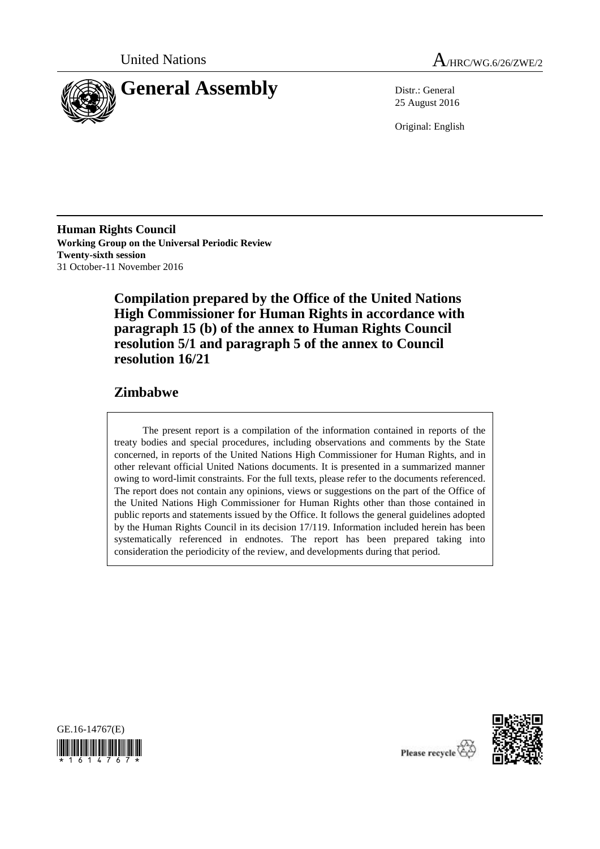



25 August 2016

Original: English

**Human Rights Council Working Group on the Universal Periodic Review Twenty-sixth session** 31 October-11 November 2016

> **Compilation prepared by the Office of the United Nations High Commissioner for Human Rights in accordance with paragraph 15 (b) of the annex to Human Rights Council resolution 5/1 and paragraph 5 of the annex to Council resolution 16/21**

# **Zimbabwe**

The present report is a compilation of the information contained in reports of the treaty bodies and special procedures, including observations and comments by the State concerned, in reports of the United Nations High Commissioner for Human Rights, and in other relevant official United Nations documents. It is presented in a summarized manner owing to word-limit constraints. For the full texts, please refer to the documents referenced. The report does not contain any opinions, views or suggestions on the part of the Office of the United Nations High Commissioner for Human Rights other than those contained in public reports and statements issued by the Office. It follows the general guidelines adopted by the Human Rights Council in its decision 17/119. Information included herein has been systematically referenced in endnotes. The report has been prepared taking into consideration the periodicity of the review, and developments during that period.





Please recycle<sup>16</sup>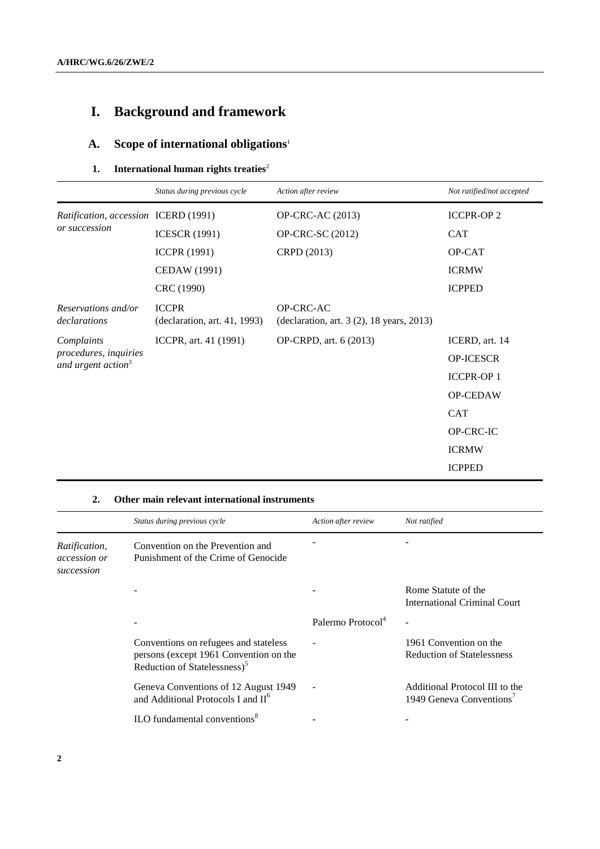# **I. Background and framework**

# **A. Scope of international obligations**<sup>1</sup>

# **1.** International human rights treaties<sup>2</sup>

|                                                                       | Status during previous cycle                 | Action after review                                    | Not ratified/not accepted |
|-----------------------------------------------------------------------|----------------------------------------------|--------------------------------------------------------|---------------------------|
| Ratification, accession ICERD (1991)<br>or succession                 |                                              | <b>OP-CRC-AC (2013)</b>                                | <b>ICCPR-OP 2</b>         |
|                                                                       | <b>ICESCR (1991)</b>                         | <b>OP-CRC-SC (2012)</b>                                | <b>CAT</b>                |
|                                                                       | <b>ICCPR</b> (1991)                          | CRPD (2013)                                            | OP-CAT                    |
|                                                                       | CEDAW (1991)                                 |                                                        | <b>ICRMW</b>              |
|                                                                       | CRC (1990)                                   |                                                        | <b>ICPPED</b>             |
| Reservations and/or<br>declarations                                   | <b>ICCPR</b><br>(declaration, art. 41, 1993) | OP-CRC-AC<br>(declaration, art. 3 (2), 18 years, 2013) |                           |
| Complaints<br>procedures, inquiries<br>and urgent action <sup>3</sup> | ICCPR, art. 41 (1991)                        | OP-CRPD, art. 6 (2013)                                 | ICERD, art. 14            |
|                                                                       |                                              |                                                        | <b>OP-ICESCR</b>          |
|                                                                       |                                              |                                                        | <b>ICCPR-OP1</b>          |
|                                                                       |                                              |                                                        | OP-CEDAW                  |
|                                                                       |                                              |                                                        | <b>CAT</b>                |
|                                                                       |                                              |                                                        | OP-CRC-IC                 |
|                                                                       |                                              |                                                        | <b>ICRMW</b>              |
|                                                                       |                                              |                                                        | <b>ICPPED</b>             |

#### **2. Other main relevant international instruments**

|                                                    | Status during previous cycle                                                                                                | Action after review           | Not ratified                                                           |
|----------------------------------------------------|-----------------------------------------------------------------------------------------------------------------------------|-------------------------------|------------------------------------------------------------------------|
| Ratification,<br><i>accession or</i><br>succession | Convention on the Prevention and<br>Punishment of the Crime of Genocide                                                     |                               |                                                                        |
|                                                    |                                                                                                                             |                               | Rome Statute of the<br><b>International Criminal Court</b>             |
|                                                    |                                                                                                                             | Palermo Protocol <sup>4</sup> |                                                                        |
|                                                    | Conventions on refugees and stateless<br>persons (except 1961 Convention on the<br>Reduction of Statelessness) <sup>5</sup> |                               | 1961 Convention on the<br><b>Reduction of Statelessness</b>            |
|                                                    | Geneva Conventions of 12 August 1949<br>and Additional Protocols I and II <sup>6</sup>                                      |                               | Additional Protocol III to the<br>1949 Geneva Conventions <sup>7</sup> |
|                                                    | ILO fundamental conventions $8$                                                                                             |                               |                                                                        |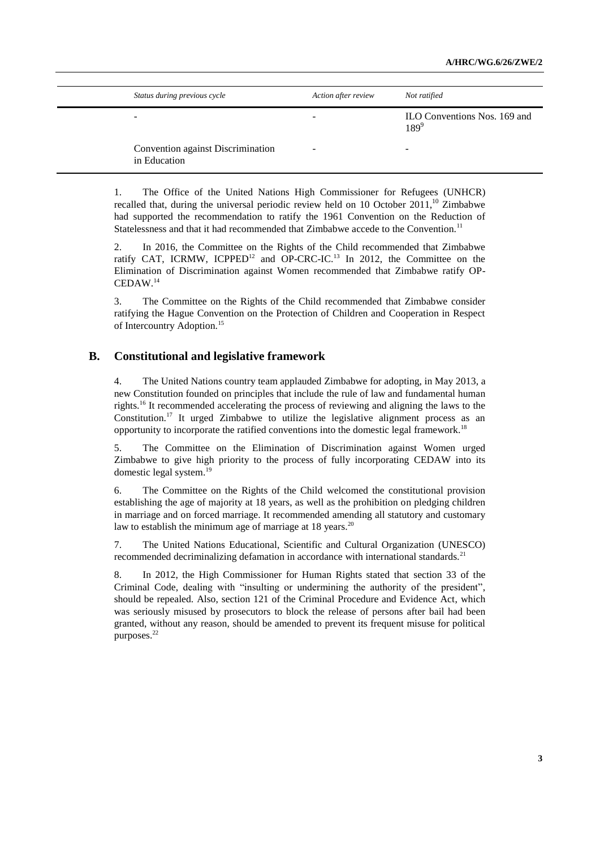| Status during previous cycle                      | Action after review | Not ratified                              |
|---------------------------------------------------|---------------------|-------------------------------------------|
| -                                                 | -                   | ILO Conventions Nos. 169 and<br>$189^{9}$ |
| Convention against Discrimination<br>in Education | -                   | $\overline{\phantom{a}}$                  |

1. The Office of the United Nations High Commissioner for Refugees (UNHCR) recalled that, during the universal periodic review held on 10 October  $2011$ ,<sup>10</sup> Zimbabwe had supported the recommendation to ratify the 1961 Convention on the Reduction of Statelessness and that it had recommended that Zimbabwe accede to the Convention.<sup>11</sup>

2. In 2016, the Committee on the Rights of the Child recommended that Zimbabwe ratify CAT, ICRMW, ICPPED<sup>12</sup> and OP-CRC-IC.<sup>13</sup> In 2012, the Committee on the Elimination of Discrimination against Women recommended that Zimbabwe ratify OP-CEDAW.<sup>14</sup>

3. The Committee on the Rights of the Child recommended that Zimbabwe consider ratifying the Hague Convention on the Protection of Children and Cooperation in Respect of Intercountry Adoption.<sup>15</sup>

## **B. Constitutional and legislative framework**

4. The United Nations country team applauded Zimbabwe for adopting, in May 2013, a new Constitution founded on principles that include the rule of law and fundamental human rights.<sup>16</sup> It recommended accelerating the process of reviewing and aligning the laws to the Constitution. <sup>17</sup> It urged Zimbabwe to utilize the legislative alignment process as an opportunity to incorporate the ratified conventions into the domestic legal framework. 18

5. The Committee on the Elimination of Discrimination against Women urged Zimbabwe to give high priority to the process of fully incorporating CEDAW into its domestic legal system. 19

6. The Committee on the Rights of the Child welcomed the constitutional provision establishing the age of majority at 18 years, as well as the prohibition on pledging children in marriage and on forced marriage. It recommended amending all statutory and customary law to establish the minimum age of marriage at 18 years.<sup>20</sup>

7. The United Nations Educational, Scientific and Cultural Organization (UNESCO) recommended decriminalizing defamation in accordance with international standards.<sup>21</sup>

8. In 2012, the High Commissioner for Human Rights stated that section 33 of the Criminal Code, dealing with "insulting or undermining the authority of the president", should be repealed. Also, section 121 of the Criminal Procedure and Evidence Act, which was seriously misused by prosecutors to block the release of persons after bail had been granted, without any reason, should be amended to prevent its frequent misuse for political purposes. 22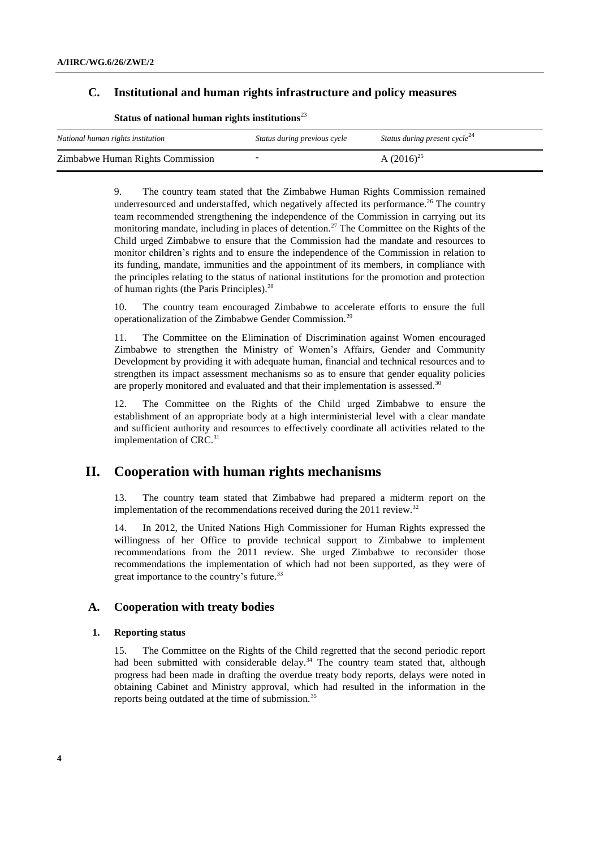## **C. Institutional and human rights infrastructure and policy measures**

| National human rights institution | Status during previous cycle | Status during present cycle <sup>24</sup> |
|-----------------------------------|------------------------------|-------------------------------------------|
| Zimbabwe Human Rights Commission  |                              | A $(2016)^{25}$                           |

#### **Status of national human rights institutions**<sup>23</sup>

9. The country team stated that the Zimbabwe Human Rights Commission remained underresourced and understaffed, which negatively affected its performance.<sup>26</sup> The country team recommended strengthening the independence of the Commission in carrying out its monitoring mandate, including in places of detention.<sup>27</sup> The Committee on the Rights of the Child urged Zimbabwe to ensure that the Commission had the mandate and resources to monitor children's rights and to ensure the independence of the Commission in relation to its funding, mandate, immunities and the appointment of its members, in compliance with the principles relating to the status of national institutions for the promotion and protection of human rights (the Paris Principles).<sup>28</sup>

10. The country team encouraged Zimbabwe to accelerate efforts to ensure the full operationalization of the Zimbabwe Gender Commission.<sup>29</sup>

11. The Committee on the Elimination of Discrimination against Women encouraged Zimbabwe to strengthen the Ministry of Women's Affairs, Gender and Community Development by providing it with adequate human, financial and technical resources and to strengthen its impact assessment mechanisms so as to ensure that gender equality policies are properly monitored and evaluated and that their implementation is assessed.<sup>30</sup>

12. The Committee on the Rights of the Child urged Zimbabwe to ensure the establishment of an appropriate body at a high interministerial level with a clear mandate and sufficient authority and resources to effectively coordinate all activities related to the implementation of CRC.<sup>31</sup>

# **II. Cooperation with human rights mechanisms**

13. The country team stated that Zimbabwe had prepared a midterm report on the implementation of the recommendations received during the 2011 review.<sup>32</sup>

14. In 2012, the United Nations High Commissioner for Human Rights expressed the willingness of her Office to provide technical support to Zimbabwe to implement recommendations from the 2011 review. She urged Zimbabwe to reconsider those recommendations the implementation of which had not been supported, as they were of great importance to the country's future.<sup>33</sup>

#### **A. Cooperation with treaty bodies**

#### **1. Reporting status**

15. The Committee on the Rights of the Child regretted that the second periodic report had been submitted with considerable delay.<sup>34</sup> The country team stated that, although progress had been made in drafting the overdue treaty body reports, delays were noted in obtaining Cabinet and Ministry approval, which had resulted in the information in the reports being outdated at the time of submission.<sup>35</sup>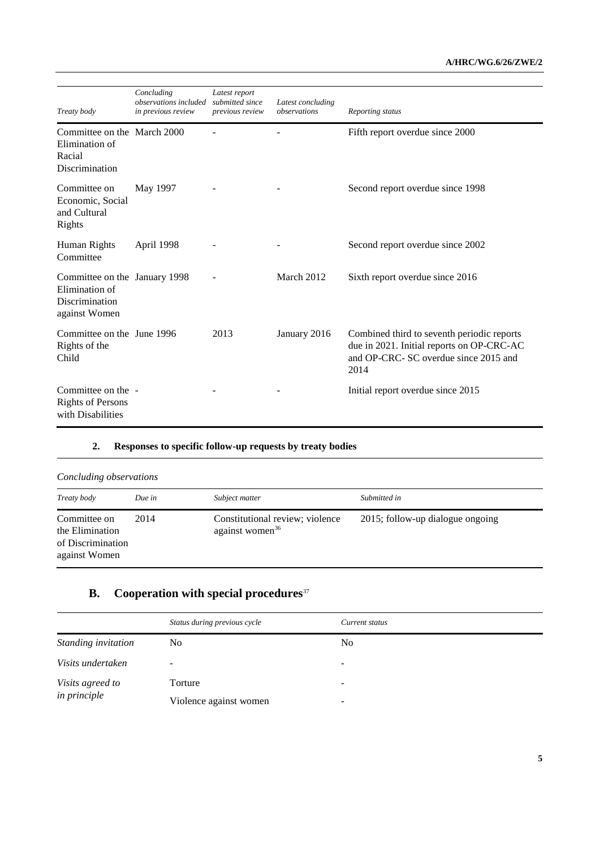| Treaty body                                                                        | Concluding<br><i>observations included</i><br>in previous review | Latest report<br>submitted since<br>previous review | Latest concluding<br>observations | Reporting status                                                                                                                         |
|------------------------------------------------------------------------------------|------------------------------------------------------------------|-----------------------------------------------------|-----------------------------------|------------------------------------------------------------------------------------------------------------------------------------------|
| Committee on the March 2000<br>Elimination of<br>Racial<br>Discrimination          |                                                                  |                                                     |                                   | Fifth report overdue since 2000                                                                                                          |
| Committee on<br>Economic, Social<br>and Cultural<br>Rights                         | May 1997                                                         |                                                     |                                   | Second report overdue since 1998                                                                                                         |
| Human Rights<br>Committee                                                          | April 1998                                                       |                                                     |                                   | Second report overdue since 2002                                                                                                         |
| Committee on the January 1998<br>Elimination of<br>Discrimination<br>against Women |                                                                  |                                                     | March 2012                        | Sixth report overdue since 2016                                                                                                          |
| Committee on the June 1996<br>Rights of the<br>Child                               |                                                                  | 2013                                                | January 2016                      | Combined third to seventh periodic reports<br>due in 2021. Initial reports on OP-CRC-AC<br>and OP-CRC- SC overdue since 2015 and<br>2014 |
| Committee on the -<br><b>Rights of Persons</b><br>with Disabilities                |                                                                  |                                                     |                                   | Initial report overdue since 2015                                                                                                        |

#### **2. Responses to specific follow-up requests by treaty bodies**

| Concluding observations                                               |        |                                                                |                                  |
|-----------------------------------------------------------------------|--------|----------------------------------------------------------------|----------------------------------|
| Treaty body                                                           | Due in | Subject matter                                                 | Submitted in                     |
| Committee on<br>the Elimination<br>of Discrimination<br>against Women | 2014   | Constitutional review; violence<br>against women <sup>36</sup> | 2015; follow-up dialogue ongoing |

# **B. Cooperation with special procedures**<sup>37</sup>

|                     | Status during previous cycle | Current status |
|---------------------|------------------------------|----------------|
| Standing invitation | No                           | N <sub>0</sub> |
| Visits undertaken   |                              | -              |
| Visits agreed to    | Torture                      | -              |
| <i>in principle</i> | Violence against women       | -              |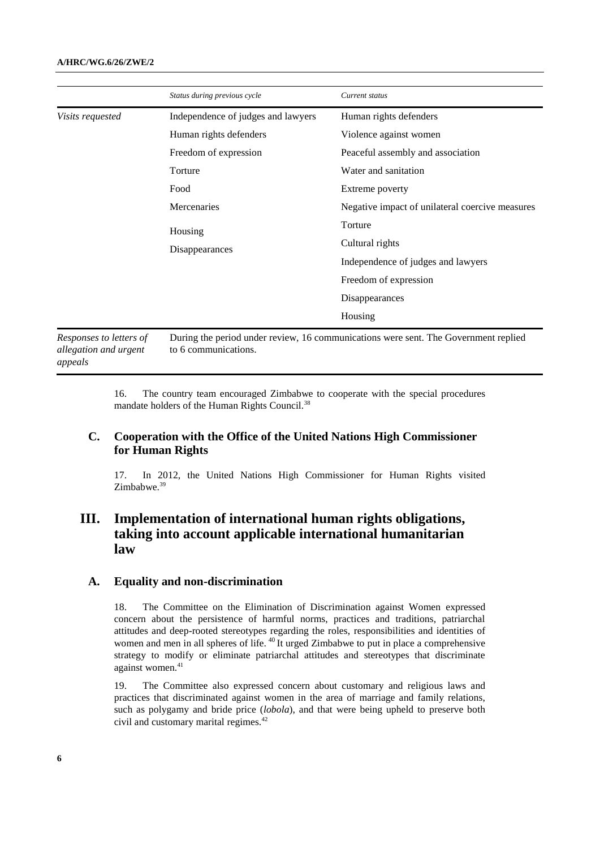|                        | Status during previous cycle       | Current status                                                                     |
|------------------------|------------------------------------|------------------------------------------------------------------------------------|
| Visits requested       | Independence of judges and lawyers | Human rights defenders                                                             |
|                        | Human rights defenders             | Violence against women                                                             |
|                        | Freedom of expression              | Peaceful assembly and association                                                  |
|                        | Torture                            | Water and sanitation                                                               |
|                        | Food                               | Extreme poverty                                                                    |
|                        | Mercenaries                        | Negative impact of unilateral coercive measures                                    |
|                        | Housing<br>Disappearances          | Torture                                                                            |
|                        |                                    | Cultural rights                                                                    |
|                        |                                    | Independence of judges and lawyers                                                 |
|                        |                                    | Freedom of expression                                                              |
|                        |                                    | Disappearances                                                                     |
|                        |                                    | Housing                                                                            |
| Demonses to letters of |                                    | During the period under review 16 communications were sent. The Government replied |

*Responses to letters of allegation and urgent appeals* During the period under review, 16 communications were sent. The Government replied to 6 communications.

> 16. The country team encouraged Zimbabwe to cooperate with the special procedures mandate holders of the Human Rights Council.<sup>38</sup>

# **C. Cooperation with the Office of the United Nations High Commissioner for Human Rights**

17. In 2012, the United Nations High Commissioner for Human Rights visited Zimbabwe.<sup>39</sup>

# **III. Implementation of international human rights obligations, taking into account applicable international humanitarian law**

#### **A. Equality and non-discrimination**

18. The Committee on the Elimination of Discrimination against Women expressed concern about the persistence of harmful norms, practices and traditions, patriarchal attitudes and deep-rooted stereotypes regarding the roles, responsibilities and identities of women and men in all spheres of life. <sup>40</sup> It urged Zimbabwe to put in place a comprehensive strategy to modify or eliminate patriarchal attitudes and stereotypes that discriminate against women.<sup>41</sup>

19. The Committee also expressed concern about customary and religious laws and practices that discriminated against women in the area of marriage and family relations, such as polygamy and bride price (*lobola*), and that were being upheld to preserve both civil and customary marital regimes.<sup>42</sup>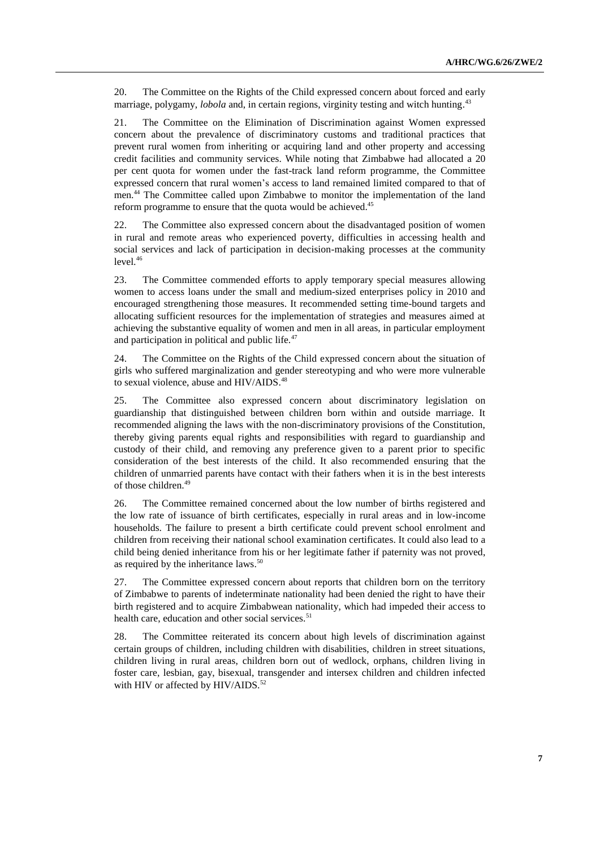20. The Committee on the Rights of the Child expressed concern about forced and early marriage, polygamy, *lobola* and, in certain regions, virginity testing and witch hunting. 43

21. The Committee on the Elimination of Discrimination against Women expressed concern about the prevalence of discriminatory customs and traditional practices that prevent rural women from inheriting or acquiring land and other property and accessing credit facilities and community services. While noting that Zimbabwe had allocated a 20 per cent quota for women under the fast-track land reform programme, the Committee expressed concern that rural women's access to land remained limited compared to that of men. <sup>44</sup> The Committee called upon Zimbabwe to monitor the implementation of the land reform programme to ensure that the quota would be achieved.<sup>45</sup>

22. The Committee also expressed concern about the disadvantaged position of women in rural and remote areas who experienced poverty, difficulties in accessing health and social services and lack of participation in decision-making processes at the community  $level.<sup>46</sup>$ 

23. The Committee commended efforts to apply temporary special measures allowing women to access loans under the small and medium-sized enterprises policy in 2010 and encouraged strengthening those measures. It recommended setting time-bound targets and allocating sufficient resources for the implementation of strategies and measures aimed at achieving the substantive equality of women and men in all areas, in particular employment and participation in political and public life.<sup>47</sup>

24. The Committee on the Rights of the Child expressed concern about the situation of girls who suffered marginalization and gender stereotyping and who were more vulnerable to sexual violence, abuse and HIV/AIDS.<sup>48</sup>

25. The Committee also expressed concern about discriminatory legislation on guardianship that distinguished between children born within and outside marriage. It recommended aligning the laws with the non-discriminatory provisions of the Constitution, thereby giving parents equal rights and responsibilities with regard to guardianship and custody of their child, and removing any preference given to a parent prior to specific consideration of the best interests of the child. It also recommended ensuring that the children of unmarried parents have contact with their fathers when it is in the best interests of those children. 49

26. The Committee remained concerned about the low number of births registered and the low rate of issuance of birth certificates, especially in rural areas and in low-income households. The failure to present a birth certificate could prevent school enrolment and children from receiving their national school examination certificates. It could also lead to a child being denied inheritance from his or her legitimate father if paternity was not proved, as required by the inheritance laws. 50

27. The Committee expressed concern about reports that children born on the territory of Zimbabwe to parents of indeterminate nationality had been denied the right to have their birth registered and to acquire Zimbabwean nationality, which had impeded their access to health care, education and other social services.<sup>51</sup>

28. The Committee reiterated its concern about high levels of discrimination against certain groups of children, including children with disabilities, children in street situations, children living in rural areas, children born out of wedlock, orphans, children living in foster care, lesbian, gay, bisexual, transgender and intersex children and children infected with HIV or affected by HIV/AIDS.<sup>52</sup>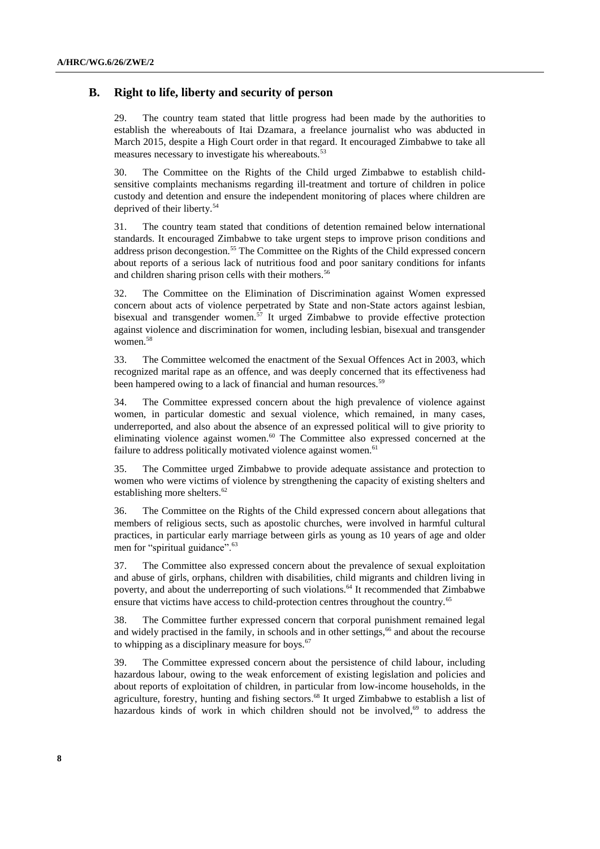## **B. Right to life, liberty and security of person**

29. The country team stated that little progress had been made by the authorities to establish the whereabouts of Itai Dzamara, a freelance journalist who was abducted in March 2015, despite a High Court order in that regard. It encouraged Zimbabwe to take all measures necessary to investigate his whereabouts.<sup>53</sup>

30. The Committee on the Rights of the Child urged Zimbabwe to establish childsensitive complaints mechanisms regarding ill-treatment and torture of children in police custody and detention and ensure the independent monitoring of places where children are deprived of their liberty.<sup>54</sup>

31. The country team stated that conditions of detention remained below international standards. It encouraged Zimbabwe to take urgent steps to improve prison conditions and address prison decongestion.<sup>55</sup> The Committee on the Rights of the Child expressed concern about reports of a serious lack of nutritious food and poor sanitary conditions for infants and children sharing prison cells with their mothers.<sup>56</sup>

32. The Committee on the Elimination of Discrimination against Women expressed concern about acts of violence perpetrated by State and non-State actors against lesbian, bisexual and transgender women.<sup>57</sup> It urged Zimbabwe to provide effective protection against violence and discrimination for women, including lesbian, bisexual and transgender women.<sup>58</sup>

33. The Committee welcomed the enactment of the Sexual Offences Act in 2003, which recognized marital rape as an offence, and was deeply concerned that its effectiveness had been hampered owing to a lack of financial and human resources.<sup>59</sup>

34. The Committee expressed concern about the high prevalence of violence against women, in particular domestic and sexual violence, which remained, in many cases, underreported, and also about the absence of an expressed political will to give priority to eliminating violence against women. $60$  The Committee also expressed concerned at the failure to address politically motivated violence against women.<sup>61</sup>

35. The Committee urged Zimbabwe to provide adequate assistance and protection to women who were victims of violence by strengthening the capacity of existing shelters and establishing more shelters.<sup>62</sup>

36. The Committee on the Rights of the Child expressed concern about allegations that members of religious sects, such as apostolic churches, were involved in harmful cultural practices, in particular early marriage between girls as young as 10 years of age and older men for "spiritual guidance".<sup>63</sup>

37. The Committee also expressed concern about the prevalence of sexual exploitation and abuse of girls, orphans, children with disabilities, child migrants and children living in poverty, and about the underreporting of such violations.<sup>64</sup> It recommended that Zimbabwe ensure that victims have access to child-protection centres throughout the country.<sup>65</sup>

38. The Committee further expressed concern that corporal punishment remained legal and widely practised in the family, in schools and in other settings,<sup>66</sup> and about the recourse to whipping as a disciplinary measure for boys. $67$ 

39. The Committee expressed concern about the persistence of child labour, including hazardous labour, owing to the weak enforcement of existing legislation and policies and about reports of exploitation of children, in particular from low-income households, in the agriculture, forestry, hunting and fishing sectors.<sup>68</sup> It urged Zimbabwe to establish a list of hazardous kinds of work in which children should not be involved,<sup>69</sup> to address the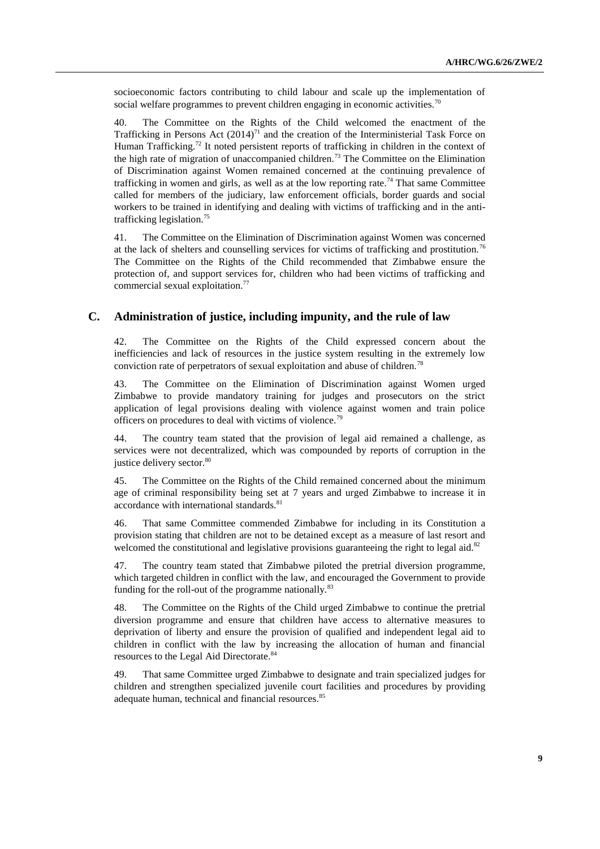socioeconomic factors contributing to child labour and scale up the implementation of social welfare programmes to prevent children engaging in economic activities.<sup>70</sup>

40. The Committee on the Rights of the Child welcomed the enactment of the Trafficking in Persons Act  $(2014)^{71}$  and the creation of the Interministerial Task Force on Human Trafficking.<sup>72</sup> It noted persistent reports of trafficking in children in the context of the high rate of migration of unaccompanied children.<sup>73</sup> The Committee on the Elimination of Discrimination against Women remained concerned at the continuing prevalence of trafficking in women and girls, as well as at the low reporting rate.<sup>74</sup> That same Committee called for members of the judiciary, law enforcement officials, border guards and social workers to be trained in identifying and dealing with victims of trafficking and in the antitrafficking legislation.<sup>75</sup>

41. The Committee on the Elimination of Discrimination against Women was concerned at the lack of shelters and counselling services for victims of trafficking and prostitution.<sup>76</sup> The Committee on the Rights of the Child recommended that Zimbabwe ensure the protection of, and support services for, children who had been victims of trafficking and commercial sexual exploitation.<sup>77</sup>

#### **C. Administration of justice, including impunity, and the rule of law**

42. The Committee on the Rights of the Child expressed concern about the inefficiencies and lack of resources in the justice system resulting in the extremely low conviction rate of perpetrators of sexual exploitation and abuse of children.<sup>78</sup>

43. The Committee on the Elimination of Discrimination against Women urged Zimbabwe to provide mandatory training for judges and prosecutors on the strict application of legal provisions dealing with violence against women and train police officers on procedures to deal with victims of violence.<sup>79</sup>

44. The country team stated that the provision of legal aid remained a challenge, as services were not decentralized, which was compounded by reports of corruption in the justice delivery sector.<sup>80</sup>

45. The Committee on the Rights of the Child remained concerned about the minimum age of criminal responsibility being set at 7 years and urged Zimbabwe to increase it in accordance with international standards.<sup>81</sup>

46. That same Committee commended Zimbabwe for including in its Constitution a provision stating that children are not to be detained except as a measure of last resort and welcomed the constitutional and legislative provisions guaranteeing the right to legal aid. $82$ 

47. The country team stated that Zimbabwe piloted the pretrial diversion programme, which targeted children in conflict with the law, and encouraged the Government to provide funding for the roll-out of the programme nationally. $83$ 

48. The Committee on the Rights of the Child urged Zimbabwe to continue the pretrial diversion programme and ensure that children have access to alternative measures to deprivation of liberty and ensure the provision of qualified and independent legal aid to children in conflict with the law by increasing the allocation of human and financial resources to the Legal Aid Directorate.<sup>84</sup>

49. That same Committee urged Zimbabwe to designate and train specialized judges for children and strengthen specialized juvenile court facilities and procedures by providing adequate human, technical and financial resources.<sup>85</sup>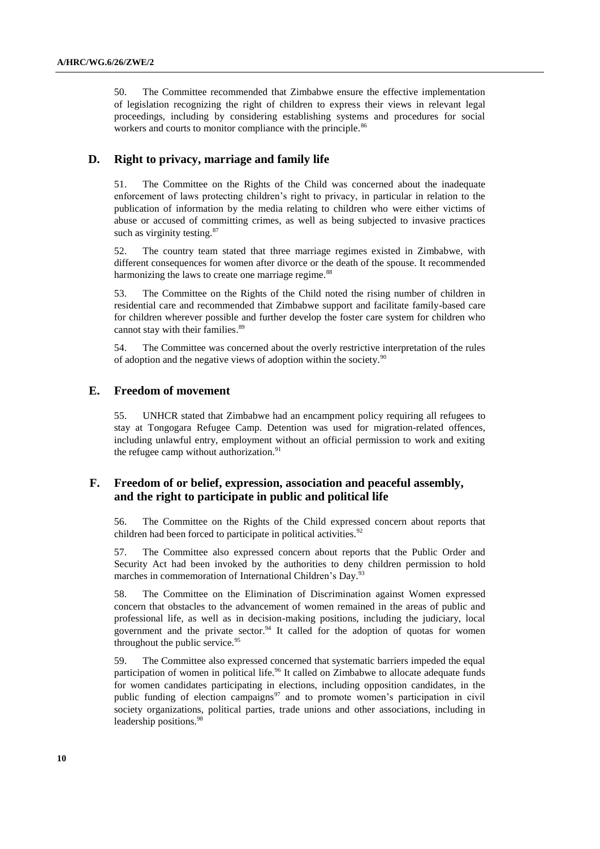50. The Committee recommended that Zimbabwe ensure the effective implementation of legislation recognizing the right of children to express their views in relevant legal proceedings, including by considering establishing systems and procedures for social workers and courts to monitor compliance with the principle.<sup>86</sup>

## **D. Right to privacy, marriage and family life**

51. The Committee on the Rights of the Child was concerned about the inadequate enforcement of laws protecting children's right to privacy, in particular in relation to the publication of information by the media relating to children who were either victims of abuse or accused of committing crimes, as well as being subjected to invasive practices such as virginity testing.<sup>87</sup>

52. The country team stated that three marriage regimes existed in Zimbabwe, with different consequences for women after divorce or the death of the spouse. It recommended harmonizing the laws to create one marriage regime.<sup>88</sup>

53. The Committee on the Rights of the Child noted the rising number of children in residential care and recommended that Zimbabwe support and facilitate family-based care for children wherever possible and further develop the foster care system for children who cannot stay with their families.<sup>89</sup>

54. The Committee was concerned about the overly restrictive interpretation of the rules of adoption and the negative views of adoption within the society. $90$ 

#### **E. Freedom of movement**

55. UNHCR stated that Zimbabwe had an encampment policy requiring all refugees to stay at Tongogara Refugee Camp. Detention was used for migration-related offences, including unlawful entry, employment without an official permission to work and exiting the refugee camp without authorization.<sup>91</sup>

## **F. Freedom of or belief, expression, association and peaceful assembly, and the right to participate in public and political life**

56. The Committee on the Rights of the Child expressed concern about reports that children had been forced to participate in political activities. $92$ 

57. The Committee also expressed concern about reports that the Public Order and Security Act had been invoked by the authorities to deny children permission to hold marches in commemoration of International Children's Day.<sup>93</sup>

58. The Committee on the Elimination of Discrimination against Women expressed concern that obstacles to the advancement of women remained in the areas of public and professional life, as well as in decision-making positions, including the judiciary, local government and the private sector.<sup>94</sup> It called for the adoption of quotas for women throughout the public service.<sup>95</sup>

59. The Committee also expressed concerned that systematic barriers impeded the equal participation of women in political life.<sup>96</sup> It called on Zimbabwe to allocate adequate funds for women candidates participating in elections, including opposition candidates, in the public funding of election campaigns<sup>97</sup> and to promote women's participation in civil society organizations, political parties, trade unions and other associations, including in leadership positions.<sup>98</sup>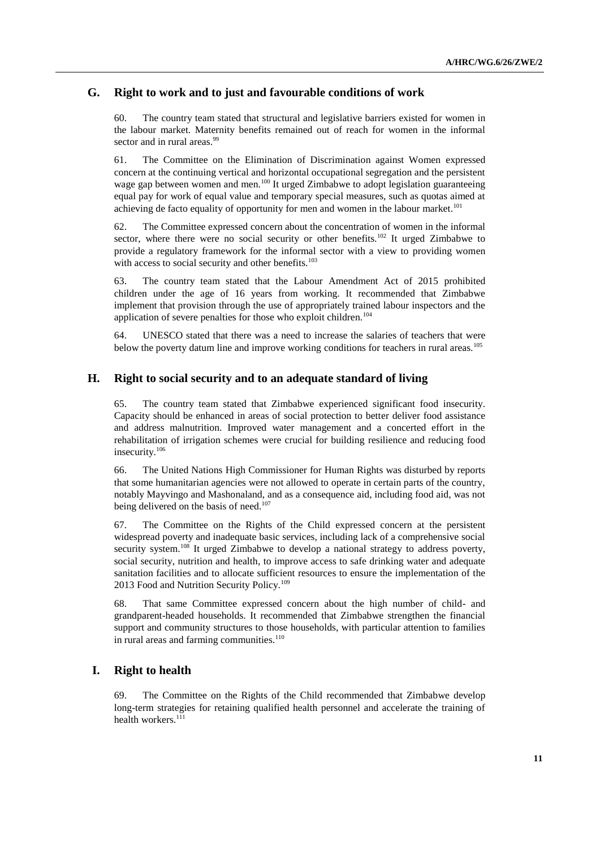## **G. Right to work and to just and favourable conditions of work**

60. The country team stated that structural and legislative barriers existed for women in the labour market. Maternity benefits remained out of reach for women in the informal sector and in rural areas.<sup>99</sup>

61. The Committee on the Elimination of Discrimination against Women expressed concern at the continuing vertical and horizontal occupational segregation and the persistent wage gap between women and men.<sup>100</sup> It urged Zimbabwe to adopt legislation guaranteeing equal pay for work of equal value and temporary special measures, such as quotas aimed at achieving de facto equality of opportunity for men and women in the labour market.<sup>101</sup>

62. The Committee expressed concern about the concentration of women in the informal sector, where there were no social security or other benefits.<sup>102</sup> It urged Zimbabwe to provide a regulatory framework for the informal sector with a view to providing women with access to social security and other benefits.<sup>103</sup>

63. The country team stated that the Labour Amendment Act of 2015 prohibited children under the age of 16 years from working. It recommended that Zimbabwe implement that provision through the use of appropriately trained labour inspectors and the application of severe penalties for those who exploit children.<sup>104</sup>

64. UNESCO stated that there was a need to increase the salaries of teachers that were below the poverty datum line and improve working conditions for teachers in rural areas.<sup>105</sup>

#### **H. Right to social security and to an adequate standard of living**

65. The country team stated that Zimbabwe experienced significant food insecurity. Capacity should be enhanced in areas of social protection to better deliver food assistance and address malnutrition. Improved water management and a concerted effort in the rehabilitation of irrigation schemes were crucial for building resilience and reducing food insecurity.<sup>106</sup>

66. The United Nations High Commissioner for Human Rights was disturbed by reports that some humanitarian agencies were not allowed to operate in certain parts of the country, notably Mayvingo and Mashonaland, and as a consequence aid, including food aid, was not being delivered on the basis of need.<sup>107</sup>

67. The Committee on the Rights of the Child expressed concern at the persistent widespread poverty and inadequate basic services, including lack of a comprehensive social security system.<sup>108</sup> It urged Zimbabwe to develop a national strategy to address poverty, social security, nutrition and health, to improve access to safe drinking water and adequate sanitation facilities and to allocate sufficient resources to ensure the implementation of the 2013 Food and Nutrition Security Policy.<sup>109</sup>

68. That same Committee expressed concern about the high number of child- and grandparent-headed households. It recommended that Zimbabwe strengthen the financial support and community structures to those households, with particular attention to families in rural areas and farming communities.<sup>110</sup>

## **I. Right to health**

The Committee on the Rights of the Child recommended that Zimbabwe develop long-term strategies for retaining qualified health personnel and accelerate the training of health workers.<sup>111</sup>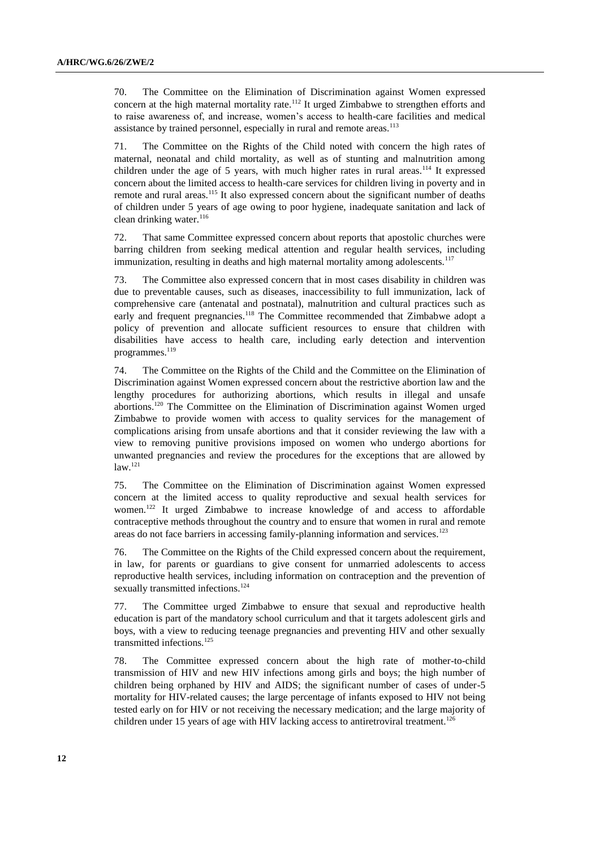70. The Committee on the Elimination of Discrimination against Women expressed concern at the high maternal mortality rate.<sup>112</sup> It urged Zimbabwe to strengthen efforts and to raise awareness of, and increase, women's access to health-care facilities and medical assistance by trained personnel, especially in rural and remote areas.<sup>113</sup>

71. The Committee on the Rights of the Child noted with concern the high rates of maternal, neonatal and child mortality, as well as of stunting and malnutrition among children under the age of 5 years, with much higher rates in rural areas.<sup>114</sup> It expressed concern about the limited access to health-care services for children living in poverty and in remote and rural areas.<sup>115</sup> It also expressed concern about the significant number of deaths of children under 5 years of age owing to poor hygiene, inadequate sanitation and lack of clean drinking water.<sup>116</sup>

72. That same Committee expressed concern about reports that apostolic churches were barring children from seeking medical attention and regular health services, including immunization, resulting in deaths and high maternal mortality among adolescents.<sup>117</sup>

73. The Committee also expressed concern that in most cases disability in children was due to preventable causes, such as diseases, inaccessibility to full immunization, lack of comprehensive care (antenatal and postnatal), malnutrition and cultural practices such as early and frequent pregnancies.<sup>118</sup> The Committee recommended that Zimbabwe adopt a policy of prevention and allocate sufficient resources to ensure that children with disabilities have access to health care, including early detection and intervention programmes.<sup>119</sup>

74. The Committee on the Rights of the Child and the Committee on the Elimination of Discrimination against Women expressed concern about the restrictive abortion law and the lengthy procedures for authorizing abortions, which results in illegal and unsafe abortions.<sup>120</sup> The Committee on the Elimination of Discrimination against Women urged Zimbabwe to provide women with access to quality services for the management of complications arising from unsafe abortions and that it consider reviewing the law with a view to removing punitive provisions imposed on women who undergo abortions for unwanted pregnancies and review the procedures for the exceptions that are allowed by  $law.<sup>121</sup>$ 

75. The Committee on the Elimination of Discrimination against Women expressed concern at the limited access to quality reproductive and sexual health services for women.<sup>122</sup> It urged Zimbabwe to increase knowledge of and access to affordable contraceptive methods throughout the country and to ensure that women in rural and remote areas do not face barriers in accessing family-planning information and services.<sup>123</sup>

76. The Committee on the Rights of the Child expressed concern about the requirement, in law, for parents or guardians to give consent for unmarried adolescents to access reproductive health services, including information on contraception and the prevention of sexually transmitted infections.<sup>124</sup>

77. The Committee urged Zimbabwe to ensure that sexual and reproductive health education is part of the mandatory school curriculum and that it targets adolescent girls and boys, with a view to reducing teenage pregnancies and preventing HIV and other sexually transmitted infections.<sup>125</sup>

78. The Committee expressed concern about the high rate of mother-to-child transmission of HIV and new HIV infections among girls and boys; the high number of children being orphaned by HIV and AIDS; the significant number of cases of under-5 mortality for HIV-related causes; the large percentage of infants exposed to HIV not being tested early on for HIV or not receiving the necessary medication; and the large majority of children under 15 years of age with HIV lacking access to antiretroviral treatment.<sup>126</sup>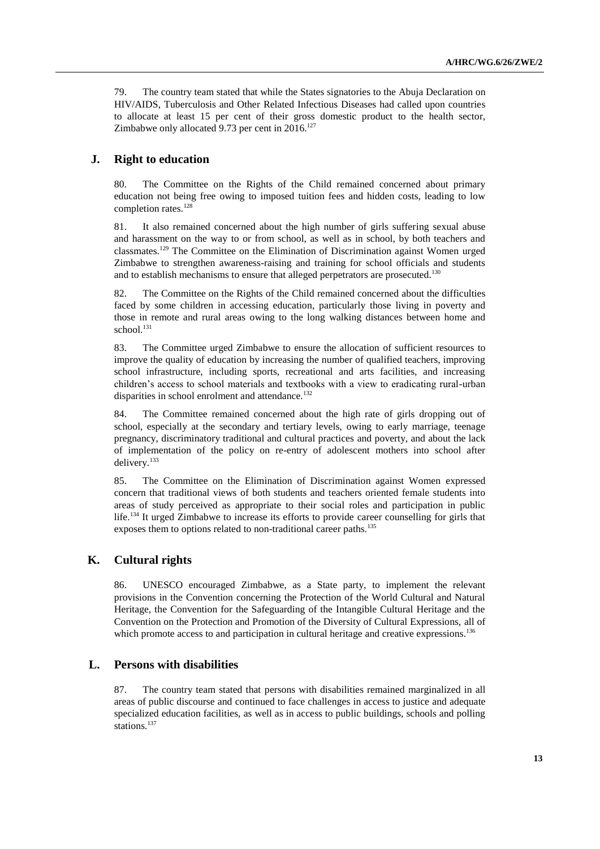79. The country team stated that while the States signatories to the Abuja Declaration on HIV/AIDS, Tuberculosis and Other Related Infectious Diseases had called upon countries to allocate at least 15 per cent of their gross domestic product to the health sector, Zimbabwe only allocated 9.73 per cent in  $2016$ <sup>127</sup>

## **J. Right to education**

80. The Committee on the Rights of the Child remained concerned about primary education not being free owing to imposed tuition fees and hidden costs, leading to low completion rates.<sup>128</sup>

81. It also remained concerned about the high number of girls suffering sexual abuse and harassment on the way to or from school, as well as in school, by both teachers and classmates.<sup>129</sup> The Committee on the Elimination of Discrimination against Women urged Zimbabwe to strengthen awareness-raising and training for school officials and students and to establish mechanisms to ensure that alleged perpetrators are prosecuted.<sup>130</sup>

82. The Committee on the Rights of the Child remained concerned about the difficulties faced by some children in accessing education, particularly those living in poverty and those in remote and rural areas owing to the long walking distances between home and school.<sup>131</sup>

83. The Committee urged Zimbabwe to ensure the allocation of sufficient resources to improve the quality of education by increasing the number of qualified teachers, improving school infrastructure, including sports, recreational and arts facilities, and increasing children's access to school materials and textbooks with a view to eradicating rural-urban disparities in school enrolment and attendance.<sup>132</sup>

84. The Committee remained concerned about the high rate of girls dropping out of school, especially at the secondary and tertiary levels, owing to early marriage, teenage pregnancy, discriminatory traditional and cultural practices and poverty, and about the lack of implementation of the policy on re-entry of adolescent mothers into school after delivery.<sup>133</sup>

85. The Committee on the Elimination of Discrimination against Women expressed concern that traditional views of both students and teachers oriented female students into areas of study perceived as appropriate to their social roles and participation in public life.<sup>134</sup> It urged Zimbabwe to increase its efforts to provide career counselling for girls that exposes them to options related to non-traditional career paths.<sup>135</sup>

#### **K. Cultural rights**

86. UNESCO encouraged Zimbabwe, as a State party, to implement the relevant provisions in the Convention concerning the Protection of the World Cultural and Natural Heritage, the Convention for the Safeguarding of the Intangible Cultural Heritage and the Convention on the Protection and Promotion of the Diversity of Cultural Expressions, all of which promote access to and participation in cultural heritage and creative expressions.<sup>136</sup>

#### **L. Persons with disabilities**

87. The country team stated that persons with disabilities remained marginalized in all areas of public discourse and continued to face challenges in access to justice and adequate specialized education facilities, as well as in access to public buildings, schools and polling stations. 137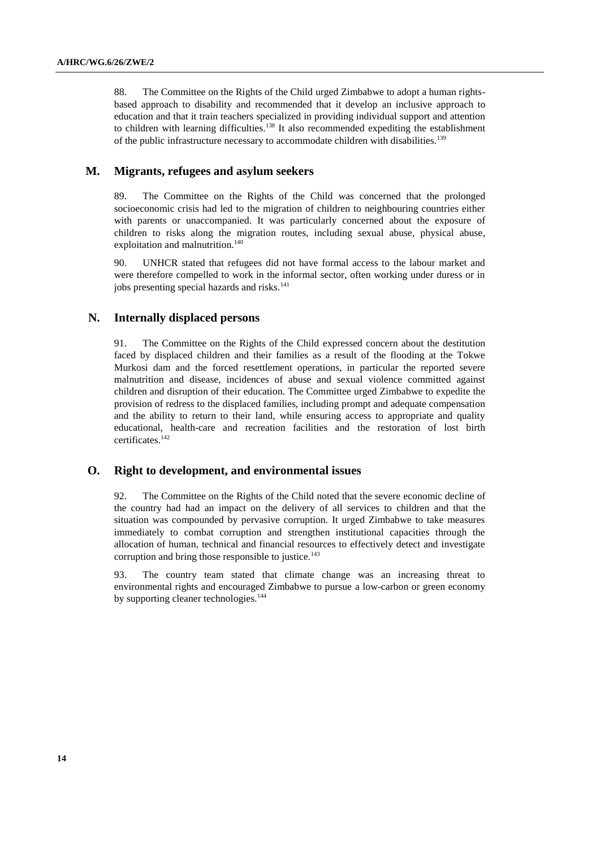88. The Committee on the Rights of the Child urged Zimbabwe to adopt a human rightsbased approach to disability and recommended that it develop an inclusive approach to education and that it train teachers specialized in providing individual support and attention to children with learning difficulties.<sup>138</sup> It also recommended expediting the establishment of the public infrastructure necessary to accommodate children with disabilities.<sup>139</sup>

#### **M. Migrants, refugees and asylum seekers**

89. The Committee on the Rights of the Child was concerned that the prolonged socioeconomic crisis had led to the migration of children to neighbouring countries either with parents or unaccompanied. It was particularly concerned about the exposure of children to risks along the migration routes, including sexual abuse, physical abuse, exploitation and malnutrition.<sup>140</sup>

90. UNHCR stated that refugees did not have formal access to the labour market and were therefore compelled to work in the informal sector, often working under duress or in jobs presenting special hazards and risks.<sup>141</sup>

#### **N. Internally displaced persons**

91. The Committee on the Rights of the Child expressed concern about the destitution faced by displaced children and their families as a result of the flooding at the Tokwe Murkosi dam and the forced resettlement operations, in particular the reported severe malnutrition and disease, incidences of abuse and sexual violence committed against children and disruption of their education. The Committee urged Zimbabwe to expedite the provision of redress to the displaced families, including prompt and adequate compensation and the ability to return to their land, while ensuring access to appropriate and quality educational, health-care and recreation facilities and the restoration of lost birth certificates.<sup>142</sup>

#### **O. Right to development, and environmental issues**

92. The Committee on the Rights of the Child noted that the severe economic decline of the country had had an impact on the delivery of all services to children and that the situation was compounded by pervasive corruption. It urged Zimbabwe to take measures immediately to combat corruption and strengthen institutional capacities through the allocation of human, technical and financial resources to effectively detect and investigate corruption and bring those responsible to justice.<sup>143</sup>

93. The country team stated that climate change was an increasing threat to environmental rights and encouraged Zimbabwe to pursue a low-carbon or green economy by supporting cleaner technologies.<sup>144</sup>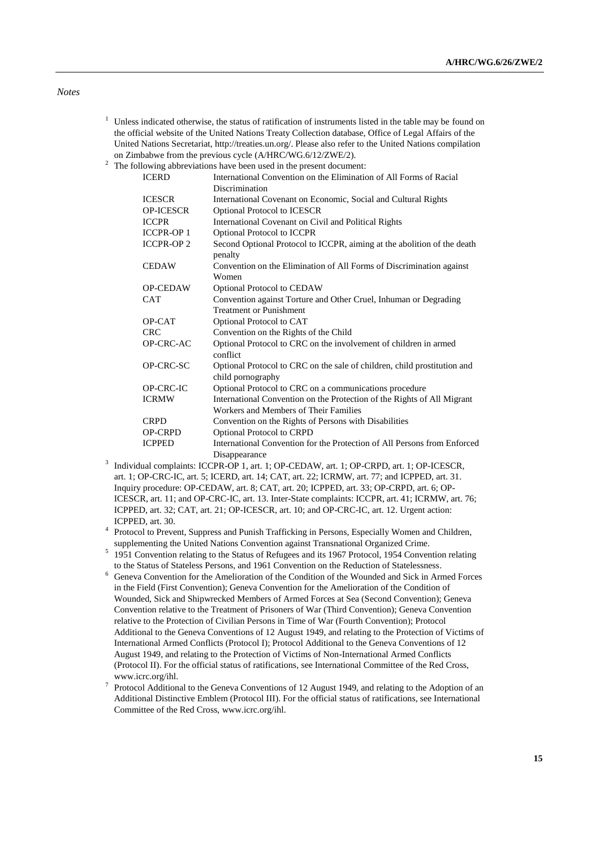#### *Notes*

- $1$  Unless indicated otherwise, the status of ratification of instruments listed in the table may be found on the official website of the United Nations Treaty Collection database, Office of Legal Affairs of the United Nations Secretariat, [http://treaties.un.org/.](http://treaties.un.org/) Please also refer to the United Nations compilation on Zimbabwe from the previous cycle (A/HRC/WG.6/12/ZWE/2).
- $2 \text{ The following abbreviations have been used in the present document:}$

|                  | to wing above viations have been about in the present about hem.         |
|------------------|--------------------------------------------------------------------------|
| <b>ICERD</b>     | International Convention on the Elimination of All Forms of Racial       |
|                  | Discrimination                                                           |
| <b>ICESCR</b>    | International Covenant on Economic, Social and Cultural Rights           |
| <b>OP-ICESCR</b> | <b>Optional Protocol to ICESCR</b>                                       |
| <b>ICCPR</b>     | International Covenant on Civil and Political Rights                     |
| <b>ICCPR-OP1</b> | Optional Protocol to ICCPR                                               |
| <b>ICCPR-OP2</b> | Second Optional Protocol to ICCPR, aiming at the abolition of the death  |
|                  | penalty                                                                  |
| <b>CEDAW</b>     | Convention on the Elimination of All Forms of Discrimination against     |
|                  | Women                                                                    |
| <b>OP-CEDAW</b>  | Optional Protocol to CEDAW                                               |
| <b>CAT</b>       | Convention against Torture and Other Cruel, Inhuman or Degrading         |
|                  | <b>Treatment or Punishment</b>                                           |
| OP-CAT           | Optional Protocol to CAT                                                 |
| <b>CRC</b>       | Convention on the Rights of the Child                                    |
| OP-CRC-AC        | Optional Protocol to CRC on the involvement of children in armed         |
|                  | conflict                                                                 |
| OP-CRC-SC        | Optional Protocol to CRC on the sale of children, child prostitution and |
|                  | child pornography                                                        |
| OP-CRC-IC        | Optional Protocol to CRC on a communications procedure                   |
| <b>ICRMW</b>     | International Convention on the Protection of the Rights of All Migrant  |
|                  | Workers and Members of Their Families                                    |
| <b>CRPD</b>      | Convention on the Rights of Persons with Disabilities                    |
| <b>OP-CRPD</b>   | Optional Protocol to CRPD                                                |
| <b>ICPPED</b>    | International Convention for the Protection of All Persons from Enforced |
|                  | Disappearance                                                            |

- <sup>3</sup> Individual complaints: ICCPR-OP 1, art. 1; OP-CEDAW, art. 1; OP-CRPD, art. 1; OP-ICESCR, art. 1; OP-CRC-IC, art. 5; ICERD, art. 14; CAT, art. 22; ICRMW, art. 77; and ICPPED, art. 31. Inquiry procedure: OP-CEDAW, art. 8; CAT, art. 20; ICPPED, art. 33; OP-CRPD, art. 6; OP-ICESCR, art. 11; and OP-CRC-IC, art. 13. Inter-State complaints: ICCPR, art. 41; ICRMW, art. 76; ICPPED, art. 32; CAT, art. 21; OP-ICESCR, art. 10; and OP-CRC-IC, art. 12. Urgent action: ICPPED, art. 30.
- <sup>4</sup> Protocol to Prevent, Suppress and Punish Trafficking in Persons, Especially Women and Children, supplementing the United Nations Convention against Transnational Organized Crime.
- <sup>5</sup> 1951 Convention relating to the Status of Refugees and its 1967 Protocol, 1954 Convention relating to the Status of Stateless Persons, and 1961 Convention on the Reduction of Statelessness.
- <sup>6</sup> Geneva Convention for the Amelioration of the Condition of the Wounded and Sick in Armed Forces in the Field (First Convention); Geneva Convention for the Amelioration of the Condition of Wounded, Sick and Shipwrecked Members of Armed Forces at Sea (Second Convention); Geneva Convention relative to the Treatment of Prisoners of War (Third Convention); Geneva Convention relative to the Protection of Civilian Persons in Time of War (Fourth Convention); Protocol Additional to the Geneva Conventions of 12 August 1949, and relating to the Protection of Victims of International Armed Conflicts (Protocol I); Protocol Additional to the Geneva Conventions of 12 August 1949, and relating to the Protection of Victims of Non-International Armed Conflicts (Protocol II). For the official status of ratifications, see International Committee of the Red Cross, www.icrc.org/ihl.
- $7$  Protocol Additional to the Geneva Conventions of 12 August 1949, and relating to the Adoption of an Additional Distinctive Emblem (Protocol III). For the official status of ratifications, see International Committee of the Red Cross, www.icrc.org/ihl.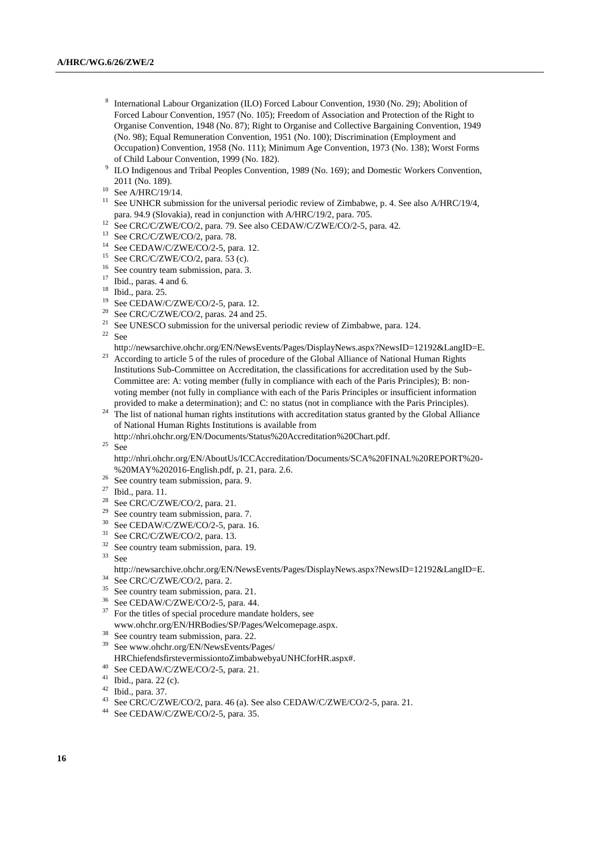- 8 International Labour Organization (ILO) Forced Labour Convention, 1930 (No. 29); Abolition of Forced Labour Convention, 1957 (No. 105); Freedom of Association and Protection of the Right to Organise Convention, 1948 (No. 87); Right to Organise and Collective Bargaining Convention, 1949 (No. 98); Equal Remuneration Convention, 1951 (No. 100); Discrimination (Employment and Occupation) Convention, 1958 (No. 111); Minimum Age Convention, 1973 (No. 138); Worst Forms of Child Labour Convention, 1999 (No. 182).
- 9 ILO Indigenous and Tribal Peoples Convention, 1989 (No. 169); and Domestic Workers Convention, 2011 (No. 189).
- $10$  See A/HRC/19/14.
- <sup>11</sup> See UNHCR submission for the universal periodic review of Zimbabwe, p. 4. See also A/HRC/19/4, para. 94.9 (Slovakia), read in conjunction with A/HRC/19/2, para. 705.
- <sup>12</sup> See CRC/C/ZWE/CO/2, para. 79. See also CEDAW/C/ZWE/CO/2-5, para. 42.
- <sup>13</sup> See CRC/C/ZWE/CO/2, para. 78.
- <sup>14</sup> See CEDAW/C/ZWE/CO/2-5, para. 12.
- $15$  See CRC/C/ZWE/CO/2, para. 53 (c).
- <sup>16</sup> See country team submission, para. 3.
- $17$  Ibid., paras. 4 and 6.
- <sup>18</sup> Ibid., para. 25.
- $19$  See CEDAW/C/ZWE/CO/2-5, para. 12.
- <sup>20</sup> See CRC/C/ZWE/CO/2, paras. 24 and 25.<br><sup>21</sup> See UNESCO submission for the universe
- See UNESCO submission for the universal periodic review of Zimbabwe, para. 124.  $22$  See
- [http://newsarchive.ohchr.org/EN/NewsEvents/Pages/DisplayNews.aspx?NewsID=12192&LangID=E.](http://newsarchive.ohchr.org/EN/NewsEvents/Pages/DisplayNews.aspx?NewsID=12192&LangID=E) <sup>23</sup> According to article 5 of the rules of procedure of the Global Alliance of National Human Rights Institutions Sub-Committee on Accreditation, the classifications for accreditation used by the Sub-Committee are: A: voting member (fully in compliance with each of the Paris Principles); B: non-
- voting member (not fully in compliance with each of the Paris Principles or insufficient information provided to make a determination); and C: no status (not in compliance with the Paris Principles). <sup>24</sup> The list of national human rights institutions with accreditation status granted by the Global Alliance
- of National Human Rights Institutions is available from http://nhri.ohchr.org/EN/Documents/Status%20Accreditation%20Chart.pdf.

 $25$  See

[http://nhri.ohchr.org/EN/AboutUs/ICCAccreditation/Documents/SCA%20FINAL%20REPORT%20-](http://nhri.ohchr.org/EN/AboutUs/ICCAccreditation/Documents/SCA%20FINAL%20REPORT%20-%20MAY%202016-English.pdf) [%20MAY%202016-English.pdf,](http://nhri.ohchr.org/EN/AboutUs/ICCAccreditation/Documents/SCA%20FINAL%20REPORT%20-%20MAY%202016-English.pdf) p. 21, para. 2.6.

- <sup>26</sup> See country team submission, para. 9.
- <sup>27</sup> Ibid., para. 11.
- $28$  See CRC/C/ZWE/CO/2, para. 21.
- $29$  See country team submission, para. 7.
- <sup>30</sup> See CEDAW/C/ZWE/CO/2-5, para. 16.
- <sup>31</sup> See CRC/C/ZWE/CO/2, para. 13.
- $32$  See country team submission, para. 19.
- $33$  See [http://newsarchive.ohchr.org/EN/NewsEvents/Pages/DisplayNews.aspx?NewsID=12192&LangID=E.](http://newsarchive.ohchr.org/EN/NewsEvents/Pages/DisplayNews.aspx?NewsID=12192&LangID=E)
- <sup>34</sup> See CRC/C/ZWE/CO/2, para. 2.
- <sup>35</sup> See country team submission, para. 21.
- <sup>36</sup> See CEDAW/C/ZWE/CO/2-5, para. 44.
- $37$  For the titles of special procedure mandate holders, see www.ohchr.org/EN/HRBodies/SP/Pages/Welcomepage.aspx.
- <sup>38</sup> See country team submission, para. 22.
- <sup>39</sup> See www.ohchr.org/EN/NewsEvents/Pages/
- HRChiefendsfirstevermissiontoZimbabwebyaUNHCforHR.aspx#.
- $^{40}$  See CEDAW/C/ZWE/CO/2-5, para. 21.
- <sup>41</sup> Ibid., para. 22 (c).
- $^{42}$  Ibid., para. 37.
- <sup>43</sup> See CRC/C/ZWE/CO/2, para. 46 (a). See also CEDAW/C/ZWE/CO/2-5, para. 21.<br><sup>44</sup> See CEDAW/C/ZWE/CO/2-5, para. 35
- See CEDAW/C/ZWE/CO/2-5, para. 35.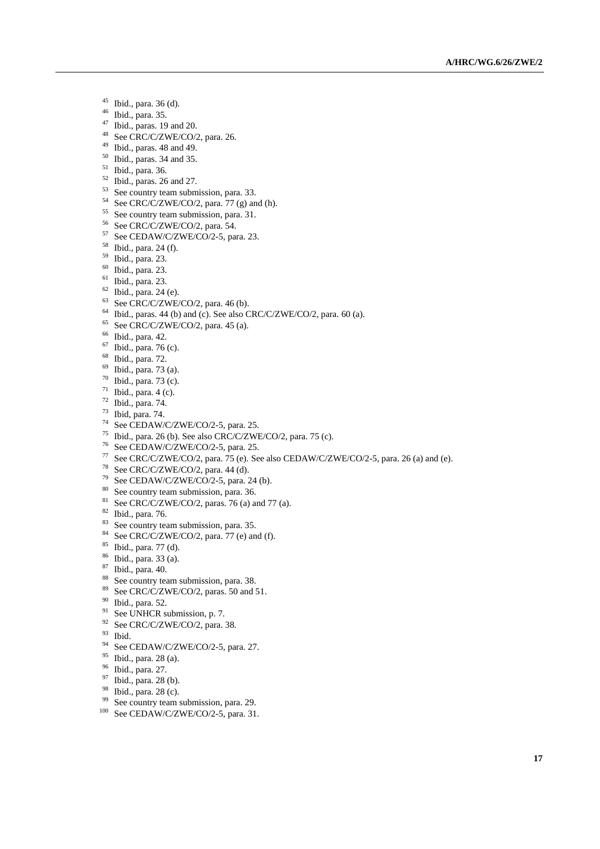- Ibid., para. 36 (d).
- Ibid., para. 35.
- Ibid., paras. 19 and 20.
- See CRC/C/ZWE/CO/2, para. 26.
- Ibid., paras. 48 and 49.
- Ibid., paras. 34 and 35.
- Ibid., para. 36.
- Ibid., paras. 26 and 27.
- <sup>53</sup> See country team submission, para. 33.
- See CRC/C/ZWE/CO/2, para. 77 (g) and (h).
- See country team submission, para. 31.
- See CRC/C/ZWE/CO/2, para. 54.
- See CEDAW/C/ZWE/CO/2-5, para. 23.
- Ibid., para. 24 (f).
- Ibid., para. 23.
- Ibid., para. 23.
- Ibid., para. 23.
- Ibid., para. 24 (e).
- See CRC/C/ZWE/CO/2, para. 46 (b).
- Ibid., paras. 44 (b) and (c). See also CRC/C/ZWE/CO/2, para. 60 (a).
- See CRC/C/ZWE/CO/2, para. 45 (a).
- Ibid., para. 42.
- Ibid., para. 76 (c).
- Ibid., para. 72.
- Ibid., para. 73 (a).
- Ibid., para. 73 (c).
- Ibid., para. 4 (c).
- Ibid., para. 74.
- Ibid, para. 74.
- See CEDAW/C/ZWE/CO/2-5, para. 25.
- Ibid., para. 26 (b). See also CRC/C/ZWE/CO/2, para. 75 (c).
- See CEDAW/C/ZWE/CO/2-5, para. 25.
- See CRC/C/ZWE/CO/2, para. 75 (e). See also CEDAW/C/ZWE/CO/2-5, para. 26 (a) and (e).
- See CRC/C/ZWE/CO/2, para. 44 (d).
- See CEDAW/C/ZWE/CO/2-5, para. 24 (b).
- See country team submission, para. 36.
- See CRC/C/ZWE/CO/2, paras. 76 (a) and 77 (a).
- Ibid., para. 76.
- <sup>83</sup> See country team submission, para. 35.
- See CRC/C/ZWE/CO/2, para. 77 (e) and (f).
- Ibid., para. 77 (d).
- Ibid., para. 33 (a).
- Ibid., para. 40.
- <sup>88</sup> See country team submission, para. 38.
- See CRC/C/ZWE/CO/2, paras. 50 and 51.
- Ibid., para. 52.
- See UNHCR submission, p. 7.
- See CRC/C/ZWE/CO/2, para. 38.
- Ibid.
- <sup>94</sup> See CEDAW/C/ZWE/CO/2-5, para. 27.
- Ibid., para. 28 (a).
- Ibid., para. 27.
- $^{97}$  Ibid., para. 28 (b).
- $\frac{98}{99}$  Ibid., para. 28 (c).
- See country team submission, para. 29.
- <sup>100</sup> See CEDAW/C/ZWE/CO/2-5, para. 31.